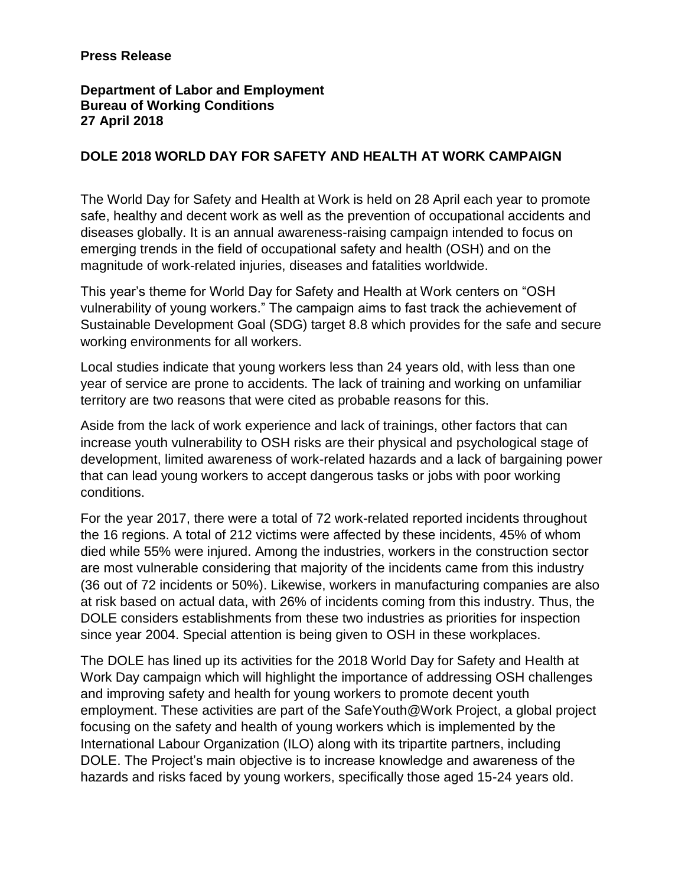## **Press Release**

## **Department of Labor and Employment Bureau of Working Conditions 27 April 2018**

## **DOLE 2018 WORLD DAY FOR SAFETY AND HEALTH AT WORK CAMPAIGN**

The World Day for Safety and Health at Work is held on 28 April each year to promote safe, healthy and decent work as well as the prevention of occupational accidents and diseases globally. It is an annual awareness-raising campaign intended to focus on emerging trends in the field of occupational safety and health (OSH) and on the magnitude of work-related injuries, diseases and fatalities worldwide.

This year's theme for World Day for Safety and Health at Work centers on "OSH vulnerability of young workers." The campaign aims to fast track the achievement of Sustainable Development Goal (SDG) target 8.8 which provides for the safe and secure working environments for all workers.

Local studies indicate that young workers less than 24 years old, with less than one year of service are prone to accidents. The lack of training and working on unfamiliar territory are two reasons that were cited as probable reasons for this.

Aside from the lack of work experience and lack of trainings, other factors that can increase youth vulnerability to OSH risks are their physical and psychological stage of development, limited awareness of work-related hazards and a lack of bargaining power that can lead young workers to accept dangerous tasks or jobs with poor working conditions.

For the year 2017, there were a total of 72 work-related reported incidents throughout the 16 regions. A total of 212 victims were affected by these incidents, 45% of whom died while 55% were injured. Among the industries, workers in the construction sector are most vulnerable considering that majority of the incidents came from this industry (36 out of 72 incidents or 50%). Likewise, workers in manufacturing companies are also at risk based on actual data, with 26% of incidents coming from this industry. Thus, the DOLE considers establishments from these two industries as priorities for inspection since year 2004. Special attention is being given to OSH in these workplaces.

The DOLE has lined up its activities for the 2018 World Day for Safety and Health at Work Day campaign which will highlight the importance of addressing OSH challenges and improving safety and health for young workers to promote decent youth employment. These activities are part of the SafeYouth@Work Project, a global project focusing on the safety and health of young workers which is implemented by the International Labour Organization (ILO) along with its tripartite partners, including DOLE. The Project's main objective is to increase knowledge and awareness of the hazards and risks faced by young workers, specifically those aged 15-24 years old.